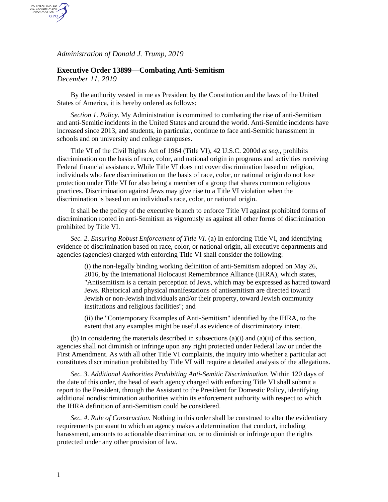*Administration of Donald J. Trump, 2019*

## **Executive Order 13899—Combating Anti-Semitism**

*December 11, 2019*

AUTHENTICATED<br>U.S. GOVERNMENT<br>INFORMATION GPO

> By the authority vested in me as President by the Constitution and the laws of the United States of America, it is hereby ordered as follows:

*Section 1*. *Policy*. My Administration is committed to combating the rise of anti-Semitism and anti-Semitic incidents in the United States and around the world. Anti-Semitic incidents have increased since 2013, and students, in particular, continue to face anti-Semitic harassment in schools and on university and college campuses.

Title VI of the Civil Rights Act of 1964 (Title VI), 42 U.S.C. 2000d *et seq*., prohibits discrimination on the basis of race, color, and national origin in programs and activities receiving Federal financial assistance. While Title VI does not cover discrimination based on religion, individuals who face discrimination on the basis of race, color, or national origin do not lose protection under Title VI for also being a member of a group that shares common religious practices. Discrimination against Jews may give rise to a Title VI violation when the discrimination is based on an individual's race, color, or national origin.

It shall be the policy of the executive branch to enforce Title VI against prohibited forms of discrimination rooted in anti-Semitism as vigorously as against all other forms of discrimination prohibited by Title VI.

*Sec. 2*. *Ensuring Robust Enforcement of Title VI*. (a) In enforcing Title VI, and identifying evidence of discrimination based on race, color, or national origin, all executive departments and agencies (agencies) charged with enforcing Title VI shall consider the following:

(i) the non-legally binding working definition of anti-Semitism adopted on May 26, 2016, by the International Holocaust Remembrance Alliance (IHRA), which states, "Antisemitism is a certain perception of Jews, which may be expressed as hatred toward Jews. Rhetorical and physical manifestations of antisemitism are directed toward Jewish or non-Jewish individuals and/or their property, toward Jewish community institutions and religious facilities"; and

(ii) the "Contemporary Examples of Anti-Semitism" identified by the IHRA, to the extent that any examples might be useful as evidence of discriminatory intent.

(b) In considering the materials described in subsections  $(a)(i)$  and  $(a)(ii)$  of this section, agencies shall not diminish or infringe upon any right protected under Federal law or under the First Amendment. As with all other Title VI complaints, the inquiry into whether a particular act constitutes discrimination prohibited by Title VI will require a detailed analysis of the allegations.

*Sec. 3*. *Additional Authorities Prohibiting Anti-Semitic Discrimination*. Within 120 days of the date of this order, the head of each agency charged with enforcing Title VI shall submit a report to the President, through the Assistant to the President for Domestic Policy, identifying additional nondiscrimination authorities within its enforcement authority with respect to which the IHRA definition of anti-Semitism could be considered.

*Sec. 4*. *Rule of Construction*. Nothing in this order shall be construed to alter the evidentiary requirements pursuant to which an agency makes a determination that conduct, including harassment, amounts to actionable discrimination, or to diminish or infringe upon the rights protected under any other provision of law.